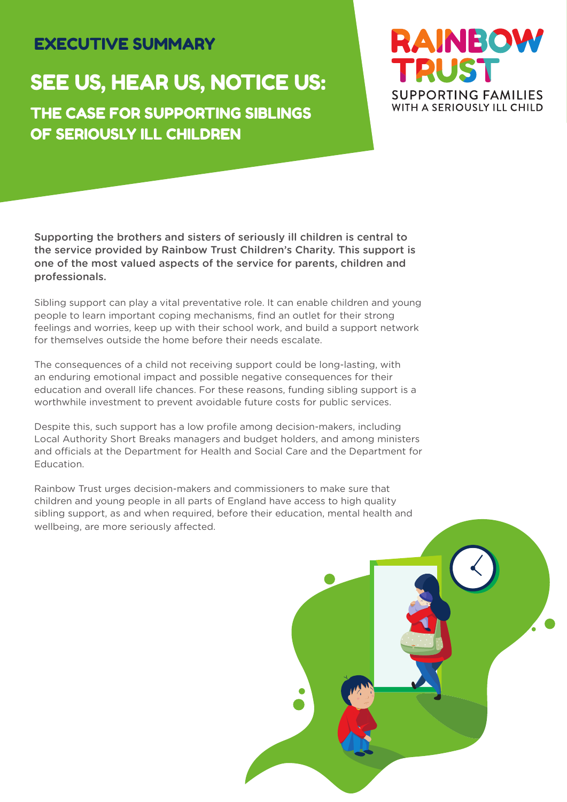# EXECUTIVE SUMMARY

# SEE US, HEAR US, NOTICE US:

THE CASE FOR SUPPORTING SIBLINGS OF SERIOUSLY ILL CHILDREN



Supporting the brothers and sisters of seriously ill children is central to the service provided by Rainbow Trust Children's Charity. This support is one of the most valued aspects of the service for parents, children and professionals.

Sibling support can play a vital preventative role. It can enable children and young people to learn important coping mechanisms, find an outlet for their strong feelings and worries, keep up with their school work, and build a support network for themselves outside the home before their needs escalate.

The consequences of a child not receiving support could be long-lasting, with an enduring emotional impact and possible negative consequences for their education and overall life chances. For these reasons, funding sibling support is a worthwhile investment to prevent avoidable future costs for public services.

Despite this, such support has a low profile among decision-makers, including Local Authority Short Breaks managers and budget holders, and among ministers and officials at the Department for Health and Social Care and the Department for Education.

Rainbow Trust urges decision-makers and commissioners to make sure that children and young people in all parts of England have access to high quality sibling support, as and when required, before their education, mental health and wellbeing, are more seriously affected.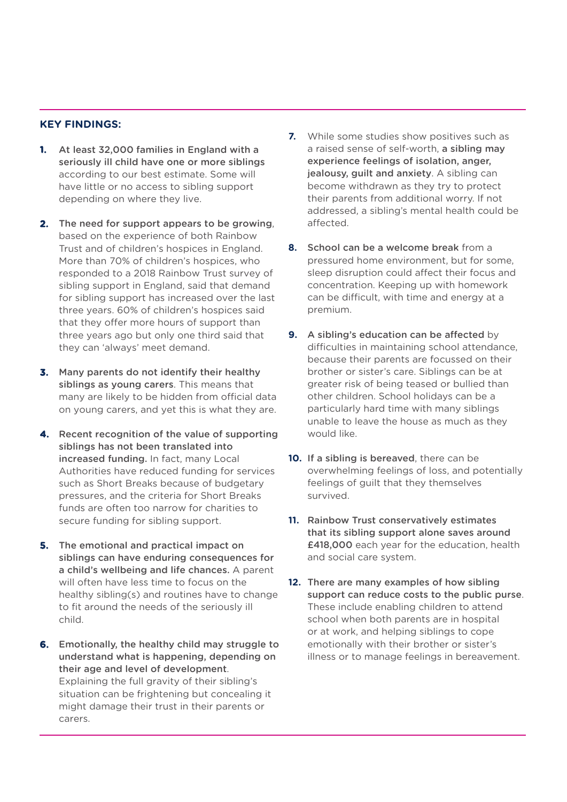### **KEY FINDINGS:**

- **1.** At least 32,000 families in England with a seriously ill child have one or more siblings according to our best estimate. Some will have little or no access to sibling support depending on where they live.
- **2.** The need for support appears to be growing, based on the experience of both Rainbow Trust and of children's hospices in England. More than 70% of children's hospices, who responded to a 2018 Rainbow Trust survey of sibling support in England, said that demand for sibling support has increased over the last three years. 60% of children's hospices said that they offer more hours of support than three years ago but only one third said that they can 'always' meet demand.
- **3.** Many parents do not identify their healthy siblings as young carers. This means that many are likely to be hidden from official data on young carers, and yet this is what they are.
- **4.** Recent recognition of the value of supporting siblings has not been translated into increased funding. In fact, many Local Authorities have reduced funding for services such as Short Breaks because of budgetary pressures, and the criteria for Short Breaks funds are often too narrow for charities to secure funding for sibling support.
- **5.** The emotional and practical impact on siblings can have enduring consequences for a child's wellbeing and life chances. A parent will often have less time to focus on the healthy sibling(s) and routines have to change to fit around the needs of the seriously ill child.
- **6.** Emotionally, the healthy child may struggle to understand what is happening, depending on their age and level of development. Explaining the full gravity of their sibling's situation can be frightening but concealing it might damage their trust in their parents or carers.
- **7.** While some studies show positives such as a raised sense of self-worth, a sibling may experience feelings of isolation, anger, **jealousy, quilt and anxiety.** A sibling can become withdrawn as they try to protect their parents from additional worry. If not addressed, a sibling's mental health could be affected.
- **8.** School can be a welcome break from a pressured home environment, but for some, sleep disruption could affect their focus and concentration. Keeping up with homework can be difficult, with time and energy at a premium.
- **9.** A sibling's education can be affected by difficulties in maintaining school attendance, because their parents are focussed on their brother or sister's care. Siblings can be at greater risk of being teased or bullied than other children. School holidays can be a particularly hard time with many siblings unable to leave the house as much as they would like.
- **10.** If a sibling is bereaved, there can be overwhelming feelings of loss, and potentially feelings of guilt that they themselves survived.
- **11.** Rainbow Trust conservatively estimates that its sibling support alone saves around £418,000 each year for the education, health and social care system.
- **12.** There are many examples of how sibling support can reduce costs to the public purse. These include enabling children to attend school when both parents are in hospital or at work, and helping siblings to cope emotionally with their brother or sister's illness or to manage feelings in bereavement.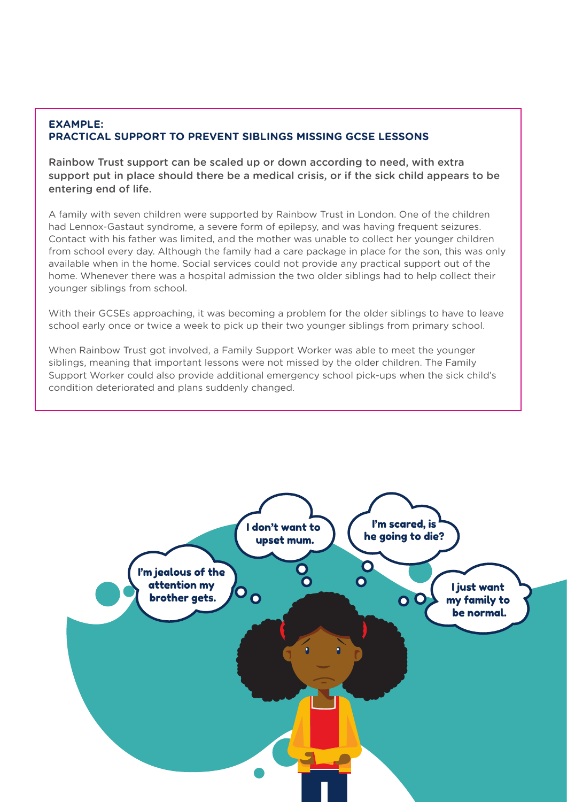# **EXAMPLE: PRACTICAL SUPPORT TO PREVENT SIBLINGS MISSING GCSE LESSONS**

Rainbow Trust support can be scaled up or down according to need, with extra support put in place should there be a medical crisis, or if the sick child appears to be entering end of life.

A family with seven children were supported by Rainbow Trust in London. One of the children had Lennox-Gastaut syndrome, a severe form of epilepsy, and was having frequent seizures. Contact with his father was limited, and the mother was unable to collect her younger children from school every day. Although the family had a care package in place for the son, this was only available when in the home. Social services could not provide any practical support out of the home. Whenever there was a hospital admission the two older siblings had to help collect their younger siblings from school.

With their GCSEs approaching, it was becoming a problem for the older siblings to have to leave school early once or twice a week to pick up their two younger siblings from primary school.

When Rainbow Trust got involved, a Family Support Worker was able to meet the younger siblings, meaning that important lessons were not missed by the older children. The Family Support Worker could also provide additional emergency school pick-ups when the sick child's condition deteriorated and plans suddenly changed.